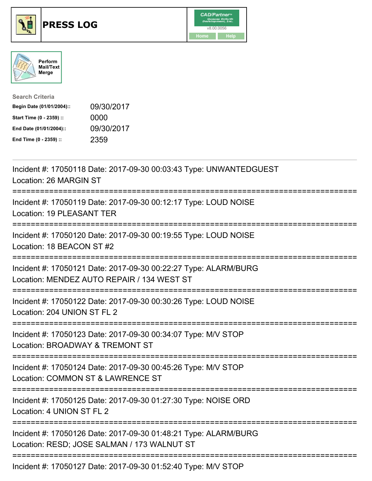





| <b>Search Criteria</b>    |            |
|---------------------------|------------|
| Begin Date (01/01/2004):: | 09/30/2017 |
| Start Time (0 - 2359) ::  | 0000       |
| End Date (01/01/2004)::   | 09/30/2017 |
| End Time (0 - 2359) ::    | 2359       |

| Incident #: 17050118 Date: 2017-09-30 00:03:43 Type: UNWANTEDGUEST<br>Location: 26 MARGIN ST                                                      |
|---------------------------------------------------------------------------------------------------------------------------------------------------|
| Incident #: 17050119 Date: 2017-09-30 00:12:17 Type: LOUD NOISE<br>Location: 19 PLEASANT TER                                                      |
| Incident #: 17050120 Date: 2017-09-30 00:19:55 Type: LOUD NOISE<br>Location: 18 BEACON ST #2                                                      |
| Incident #: 17050121 Date: 2017-09-30 00:22:27 Type: ALARM/BURG<br>Location: MENDEZ AUTO REPAIR / 134 WEST ST                                     |
| Incident #: 17050122 Date: 2017-09-30 00:30:26 Type: LOUD NOISE<br>Location: 204 UNION ST FL 2<br>==============                                  |
| Incident #: 17050123 Date: 2017-09-30 00:34:07 Type: M/V STOP<br>Location: BROADWAY & TREMONT ST<br>-------------                                 |
| Incident #: 17050124 Date: 2017-09-30 00:45:26 Type: M/V STOP<br>Location: COMMON ST & LAWRENCE ST<br>.________________________                   |
| Incident #: 17050125 Date: 2017-09-30 01:27:30 Type: NOISE ORD<br>Location: 4 UNION ST FL 2                                                       |
| Incident #: 17050126 Date: 2017-09-30 01:48:21 Type: ALARM/BURG<br>Location: RESD; JOSE SALMAN / 173 WALNUT ST<br>------------------------------- |
| Incident #: 17050127 Date: 2017-09-30 01:52:40 Type: M/V STOP                                                                                     |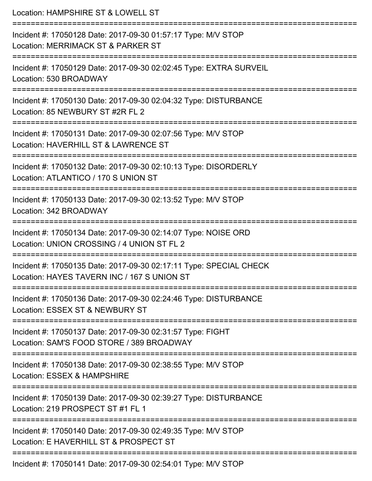| Location: HAMPSHIRE ST & LOWELL ST                                                                                                                                           |
|------------------------------------------------------------------------------------------------------------------------------------------------------------------------------|
| Incident #: 17050128 Date: 2017-09-30 01:57:17 Type: M/V STOP<br>Location: MERRIMACK ST & PARKER ST                                                                          |
| Incident #: 17050129 Date: 2017-09-30 02:02:45 Type: EXTRA SURVEIL<br>Location: 530 BROADWAY                                                                                 |
| Incident #: 17050130 Date: 2017-09-30 02:04:32 Type: DISTURBANCE<br>Location: 85 NEWBURY ST #2R FL 2                                                                         |
| ====================================<br>===========================<br>Incident #: 17050131 Date: 2017-09-30 02:07:56 Type: M/V STOP<br>Location: HAVERHILL ST & LAWRENCE ST |
| Incident #: 17050132 Date: 2017-09-30 02:10:13 Type: DISORDERLY<br>Location: ATLANTICO / 170 S UNION ST                                                                      |
| Incident #: 17050133 Date: 2017-09-30 02:13:52 Type: M/V STOP<br>Location: 342 BROADWAY                                                                                      |
| Incident #: 17050134 Date: 2017-09-30 02:14:07 Type: NOISE ORD<br>Location: UNION CROSSING / 4 UNION ST FL 2                                                                 |
| ====================<br>Incident #: 17050135 Date: 2017-09-30 02:17:11 Type: SPECIAL CHECK<br>Location: HAYES TAVERN INC / 167 S UNION ST                                    |
| ================================<br>Incident #: 17050136 Date: 2017-09-30 02:24:46 Type: DISTURBANCE<br>Location: ESSEX ST & NEWBURY ST                                      |
| Incident #: 17050137 Date: 2017-09-30 02:31:57 Type: FIGHT<br>Location: SAM'S FOOD STORE / 389 BROADWAY                                                                      |
| Incident #: 17050138 Date: 2017-09-30 02:38:55 Type: M/V STOP<br>Location: ESSEX & HAMPSHIRE                                                                                 |
| Incident #: 17050139 Date: 2017-09-30 02:39:27 Type: DISTURBANCE<br>Location: 219 PROSPECT ST #1 FL 1                                                                        |
| Incident #: 17050140 Date: 2017-09-30 02:49:35 Type: M/V STOP<br>Location: E HAVERHILL ST & PROSPECT ST                                                                      |
| Incident #: 17050141 Date: 2017-09-30 02:54:01 Type: M/V STOP                                                                                                                |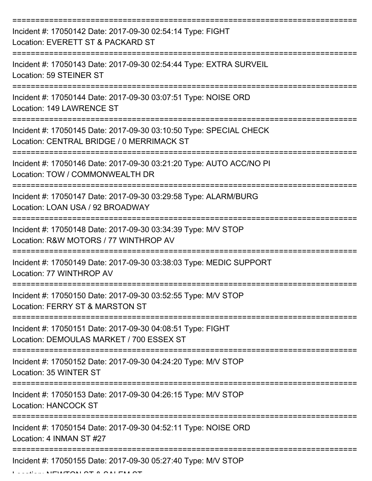| Incident #: 17050142 Date: 2017-09-30 02:54:14 Type: FIGHT<br>Location: EVERETT ST & PACKARD ST                 |
|-----------------------------------------------------------------------------------------------------------------|
| Incident #: 17050143 Date: 2017-09-30 02:54:44 Type: EXTRA SURVEIL<br>Location: 59 STEINER ST                   |
| Incident #: 17050144 Date: 2017-09-30 03:07:51 Type: NOISE ORD<br>Location: 149 LAWRENCE ST                     |
| Incident #: 17050145 Date: 2017-09-30 03:10:50 Type: SPECIAL CHECK<br>Location: CENTRAL BRIDGE / 0 MERRIMACK ST |
| Incident #: 17050146 Date: 2017-09-30 03:21:20 Type: AUTO ACC/NO PI<br>Location: TOW / COMMONWEALTH DR          |
| Incident #: 17050147 Date: 2017-09-30 03:29:58 Type: ALARM/BURG<br>Location: LOAN USA / 92 BROADWAY             |
| Incident #: 17050148 Date: 2017-09-30 03:34:39 Type: M/V STOP<br>Location: R&W MOTORS / 77 WINTHROP AV          |
| Incident #: 17050149 Date: 2017-09-30 03:38:03 Type: MEDIC SUPPORT<br>Location: 77 WINTHROP AV                  |
| Incident #: 17050150 Date: 2017-09-30 03:52:55 Type: M/V STOP<br>Location: FERRY ST & MARSTON ST                |
| Incident #: 17050151 Date: 2017-09-30 04:08:51 Type: FIGHT<br>Location: DEMOULAS MARKET / 700 ESSEX ST          |
| Incident #: 17050152 Date: 2017-09-30 04:24:20 Type: M/V STOP<br>Location: 35 WINTER ST                         |
| Incident #: 17050153 Date: 2017-09-30 04:26:15 Type: M/V STOP<br><b>Location: HANCOCK ST</b>                    |
| Incident #: 17050154 Date: 2017-09-30 04:52:11 Type: NOISE ORD<br>Location: 4 INMAN ST #27                      |
| Incident #: 17050155 Date: 2017-09-30 05:27:40 Type: M/V STOP                                                   |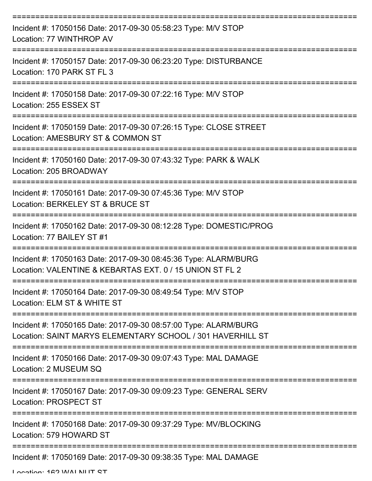| Incident #: 17050156 Date: 2017-09-30 05:58:23 Type: M/V STOP<br>Location: 77 WINTHROP AV                                                  |
|--------------------------------------------------------------------------------------------------------------------------------------------|
| Incident #: 17050157 Date: 2017-09-30 06:23:20 Type: DISTURBANCE<br>Location: 170 PARK ST FL 3                                             |
| Incident #: 17050158 Date: 2017-09-30 07:22:16 Type: M/V STOP<br>Location: 255 ESSEX ST                                                    |
| Incident #: 17050159 Date: 2017-09-30 07:26:15 Type: CLOSE STREET<br>Location: AMESBURY ST & COMMON ST                                     |
| Incident #: 17050160 Date: 2017-09-30 07:43:32 Type: PARK & WALK<br>Location: 205 BROADWAY                                                 |
| Incident #: 17050161 Date: 2017-09-30 07:45:36 Type: M/V STOP<br>Location: BERKELEY ST & BRUCE ST                                          |
| Incident #: 17050162 Date: 2017-09-30 08:12:28 Type: DOMESTIC/PROG<br>Location: 77 BAILEY ST #1                                            |
| ===========<br>Incident #: 17050163 Date: 2017-09-30 08:45:36 Type: ALARM/BURG<br>Location: VALENTINE & KEBARTAS EXT. 0 / 15 UNION ST FL 2 |
| Incident #: 17050164 Date: 2017-09-30 08:49:54 Type: M/V STOP<br>Location: ELM ST & WHITE ST                                               |
| Incident #: 17050165 Date: 2017-09-30 08:57:00 Type: ALARM/BURG<br>Location: SAINT MARYS ELEMENTARY SCHOOL / 301 HAVERHILL ST              |
| Incident #: 17050166 Date: 2017-09-30 09:07:43 Type: MAL DAMAGE<br>Location: 2 MUSEUM SQ                                                   |
| Incident #: 17050167 Date: 2017-09-30 09:09:23 Type: GENERAL SERV<br><b>Location: PROSPECT ST</b>                                          |
| Incident #: 17050168 Date: 2017-09-30 09:37:29 Type: MV/BLOCKING<br>Location: 579 HOWARD ST                                                |
| ======================<br>Incident #: 17050169 Date: 2017-09-30 09:38:35 Type: MAL DAMAGE                                                  |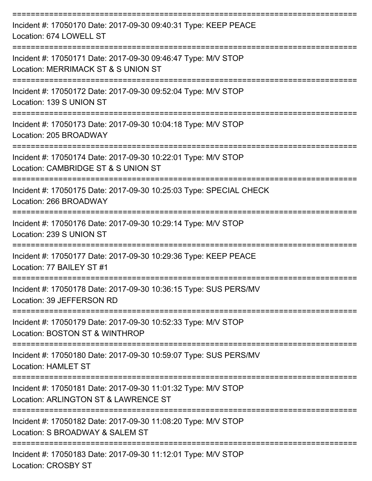| Incident #: 17050170 Date: 2017-09-30 09:40:31 Type: KEEP PEACE<br>Location: 674 LOWELL ST            |
|-------------------------------------------------------------------------------------------------------|
| Incident #: 17050171 Date: 2017-09-30 09:46:47 Type: M/V STOP<br>Location: MERRIMACK ST & S UNION ST  |
| Incident #: 17050172 Date: 2017-09-30 09:52:04 Type: M/V STOP<br>Location: 139 S UNION ST             |
| Incident #: 17050173 Date: 2017-09-30 10:04:18 Type: M/V STOP<br>Location: 205 BROADWAY               |
| Incident #: 17050174 Date: 2017-09-30 10:22:01 Type: M/V STOP<br>Location: CAMBRIDGE ST & S UNION ST  |
| Incident #: 17050175 Date: 2017-09-30 10:25:03 Type: SPECIAL CHECK<br>Location: 266 BROADWAY          |
| Incident #: 17050176 Date: 2017-09-30 10:29:14 Type: M/V STOP<br>Location: 239 S UNION ST             |
| Incident #: 17050177 Date: 2017-09-30 10:29:36 Type: KEEP PEACE<br>Location: 77 BAILEY ST #1          |
| Incident #: 17050178 Date: 2017-09-30 10:36:15 Type: SUS PERS/MV<br>Location: 39 JEFFERSON RD         |
| Incident #: 17050179 Date: 2017-09-30 10:52:33 Type: M/V STOP<br>Location: BOSTON ST & WINTHROP       |
| Incident #: 17050180 Date: 2017-09-30 10:59:07 Type: SUS PERS/MV<br>Location: HAMLET ST               |
| Incident #: 17050181 Date: 2017-09-30 11:01:32 Type: M/V STOP<br>Location: ARLINGTON ST & LAWRENCE ST |
| Incident #: 17050182 Date: 2017-09-30 11:08:20 Type: M/V STOP<br>Location: S BROADWAY & SALEM ST      |
| Incident #: 17050183 Date: 2017-09-30 11:12:01 Type: M/V STOP<br><b>Location: CROSBY ST</b>           |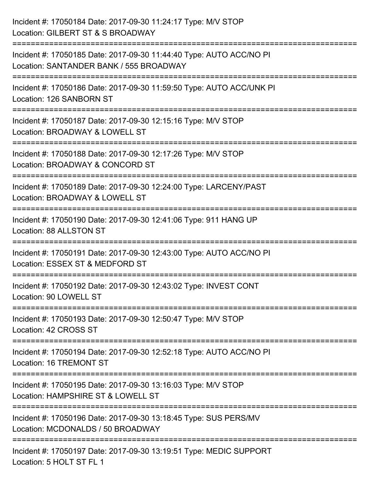| Incident #: 17050184 Date: 2017-09-30 11:24:17 Type: M/V STOP<br>Location: GILBERT ST & S BROADWAY                                                                        |
|---------------------------------------------------------------------------------------------------------------------------------------------------------------------------|
| =====================<br>Incident #: 17050185 Date: 2017-09-30 11:44:40 Type: AUTO ACC/NO PI<br>Location: SANTANDER BANK / 555 BROADWAY<br>:============================= |
| Incident #: 17050186 Date: 2017-09-30 11:59:50 Type: AUTO ACC/UNK PI<br>Location: 126 SANBORN ST                                                                          |
| Incident #: 17050187 Date: 2017-09-30 12:15:16 Type: M/V STOP<br>Location: BROADWAY & LOWELL ST                                                                           |
| Incident #: 17050188 Date: 2017-09-30 12:17:26 Type: M/V STOP<br>Location: BROADWAY & CONCORD ST                                                                          |
| Incident #: 17050189 Date: 2017-09-30 12:24:00 Type: LARCENY/PAST<br>Location: BROADWAY & LOWELL ST                                                                       |
| Incident #: 17050190 Date: 2017-09-30 12:41:06 Type: 911 HANG UP<br>Location: 88 ALLSTON ST                                                                               |
| Incident #: 17050191 Date: 2017-09-30 12:43:00 Type: AUTO ACC/NO PI<br>Location: ESSEX ST & MEDFORD ST                                                                    |
| Incident #: 17050192 Date: 2017-09-30 12:43:02 Type: INVEST CONT<br>Location: 90 LOWELL ST                                                                                |
| Incident #: 17050193 Date: 2017-09-30 12:50:47 Type: M/V STOP<br>Location: 42 CROSS ST                                                                                    |
| Incident #: 17050194 Date: 2017-09-30 12:52:18 Type: AUTO ACC/NO PI<br>Location: 16 TREMONT ST                                                                            |
| Incident #: 17050195 Date: 2017-09-30 13:16:03 Type: M/V STOP<br>Location: HAMPSHIRE ST & LOWELL ST                                                                       |
| Incident #: 17050196 Date: 2017-09-30 13:18:45 Type: SUS PERS/MV<br>Location: MCDONALDS / 50 BROADWAY                                                                     |
| Incident #: 17050197 Date: 2017-09-30 13:19:51 Type: MEDIC SUPPORT<br>Location: 5 HOLT ST FL 1                                                                            |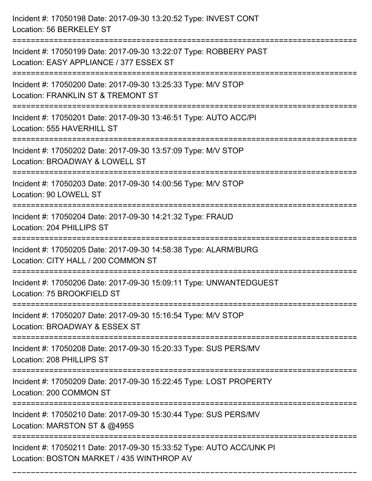| Incident #: 17050198 Date: 2017-09-30 13:20:52 Type: INVEST CONT<br>Location: 56 BERKELEY ST                      |
|-------------------------------------------------------------------------------------------------------------------|
| Incident #: 17050199 Date: 2017-09-30 13:22:07 Type: ROBBERY PAST<br>Location: EASY APPLIANCE / 377 ESSEX ST      |
| Incident #: 17050200 Date: 2017-09-30 13:25:33 Type: M/V STOP<br>Location: FRANKLIN ST & TREMONT ST               |
| Incident #: 17050201 Date: 2017-09-30 13:46:51 Type: AUTO ACC/PI<br>Location: 555 HAVERHILL ST                    |
| Incident #: 17050202 Date: 2017-09-30 13:57:09 Type: M/V STOP<br>Location: BROADWAY & LOWELL ST                   |
| Incident #: 17050203 Date: 2017-09-30 14:00:56 Type: M/V STOP<br>Location: 90 LOWELL ST                           |
| Incident #: 17050204 Date: 2017-09-30 14:21:32 Type: FRAUD<br>Location: 204 PHILLIPS ST                           |
| Incident #: 17050205 Date: 2017-09-30 14:58:38 Type: ALARM/BURG<br>Location: CITY HALL / 200 COMMON ST            |
| Incident #: 17050206 Date: 2017-09-30 15:09:11 Type: UNWANTEDGUEST<br>Location: 75 BROOKFIELD ST                  |
| Incident #: 17050207 Date: 2017-09-30 15:16:54 Type: M/V STOP<br>Location: BROADWAY & ESSEX ST                    |
| Incident #: 17050208 Date: 2017-09-30 15:20:33 Type: SUS PERS/MV<br>Location: 208 PHILLIPS ST                     |
| Incident #: 17050209 Date: 2017-09-30 15:22:45 Type: LOST PROPERTY<br>Location: 200 COMMON ST                     |
| Incident #: 17050210 Date: 2017-09-30 15:30:44 Type: SUS PERS/MV<br>Location: MARSTON ST & @495S                  |
| Incident #: 17050211 Date: 2017-09-30 15:33:52 Type: AUTO ACC/UNK PI<br>Location: BOSTON MARKET / 435 WINTHROP AV |

===========================================================================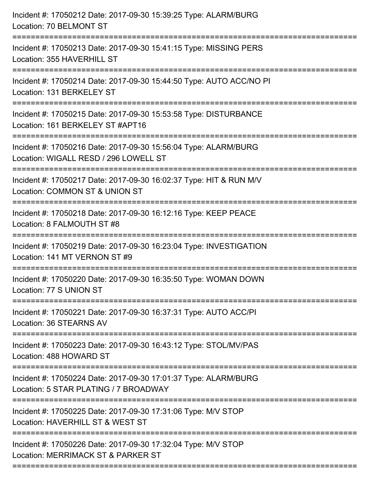| Incident #: 17050212 Date: 2017-09-30 15:39:25 Type: ALARM/BURG<br>Location: 70 BELMONT ST                                         |
|------------------------------------------------------------------------------------------------------------------------------------|
| Incident #: 17050213 Date: 2017-09-30 15:41:15 Type: MISSING PERS<br>Location: 355 HAVERHILL ST                                    |
| Incident #: 17050214 Date: 2017-09-30 15:44:50 Type: AUTO ACC/NO PI<br>Location: 131 BERKELEY ST                                   |
| Incident #: 17050215 Date: 2017-09-30 15:53:58 Type: DISTURBANCE<br>Location: 161 BERKELEY ST #APT16                               |
| Incident #: 17050216 Date: 2017-09-30 15:56:04 Type: ALARM/BURG<br>Location: WIGALL RESD / 296 LOWELL ST<br>====================== |
| Incident #: 17050217 Date: 2017-09-30 16:02:37 Type: HIT & RUN M/V<br>Location: COMMON ST & UNION ST                               |
| Incident #: 17050218 Date: 2017-09-30 16:12:16 Type: KEEP PEACE<br>Location: 8 FALMOUTH ST #8                                      |
| Incident #: 17050219 Date: 2017-09-30 16:23:04 Type: INVESTIGATION<br>Location: 141 MT VERNON ST #9                                |
| Incident #: 17050220 Date: 2017-09-30 16:35:50 Type: WOMAN DOWN<br>Location: 77 S UNION ST                                         |
| Incident #: 17050221 Date: 2017-09-30 16:37:31 Type: AUTO ACC/PI<br>Location: 36 STEARNS AV                                        |
| Incident #: 17050223 Date: 2017-09-30 16:43:12 Type: STOL/MV/PAS<br>Location: 488 HOWARD ST                                        |
| Incident #: 17050224 Date: 2017-09-30 17:01:37 Type: ALARM/BURG<br>Location: 5 STAR PLATING / 7 BROADWAY                           |
| Incident #: 17050225 Date: 2017-09-30 17:31:06 Type: M/V STOP<br>Location: HAVERHILL ST & WEST ST                                  |
| Incident #: 17050226 Date: 2017-09-30 17:32:04 Type: M/V STOP<br>Location: MERRIMACK ST & PARKER ST                                |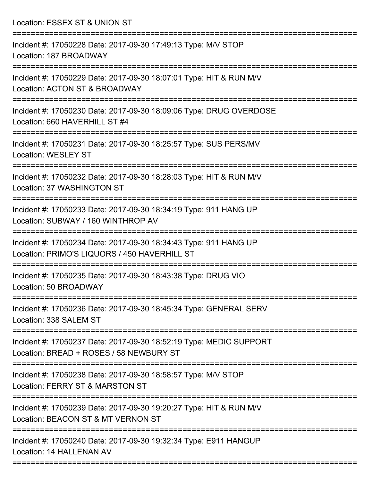Location: ESSEX ST & UNION ST =========================================================================== Incident #: 17050228 Date: 2017-09-30 17:49:13 Type: M/V STOP Location: 187 BROADWAY =========================================================================== Incident #: 17050229 Date: 2017-09-30 18:07:01 Type: HIT & RUN M/V Location: ACTON ST & BROADWAY =========================================================================== Incident #: 17050230 Date: 2017-09-30 18:09:06 Type: DRUG OVERDOSE Location: 660 HAVERHILL ST #4 =========================================================================== Incident #: 17050231 Date: 2017-09-30 18:25:57 Type: SUS PERS/MV Location: WESLEY ST =========================================================================== Incident #: 17050232 Date: 2017-09-30 18:28:03 Type: HIT & RUN M/V Location: 37 WASHINGTON ST =========================================================================== Incident #: 17050233 Date: 2017-09-30 18:34:19 Type: 911 HANG UP Location: SUBWAY / 160 WINTHROP AV =========================================================================== Incident #: 17050234 Date: 2017-09-30 18:34:43 Type: 911 HANG UP Location: PRIMO'S LIQUORS / 450 HAVERHILL ST =========================================================================== Incident #: 17050235 Date: 2017-09-30 18:43:38 Type: DRUG VIO Location: 50 BROADWAY =========================================================================== Incident #: 17050236 Date: 2017-09-30 18:45:34 Type: GENERAL SERV Location: 338 SALEM ST =========================================================================== Incident #: 17050237 Date: 2017-09-30 18:52:19 Type: MEDIC SUPPORT Location: BREAD + ROSES / 58 NEWBURY ST =========================================================================== Incident #: 17050238 Date: 2017-09-30 18:58:57 Type: M/V STOP Location: FERRY ST & MARSTON ST =========================================================================== Incident #: 17050239 Date: 2017-09-30 19:20:27 Type: HIT & RUN M/V Location: BEACON ST & MT VERNON ST =========================================================================== Incident #: 17050240 Date: 2017-09-30 19:32:34 Type: E911 HANGUP Location: 14 HALLENAN AV ===========================================================================

Incident #: 17050241 Date: 2017 09 30 19:33:40 Type: DOMESTIC/PROGRAM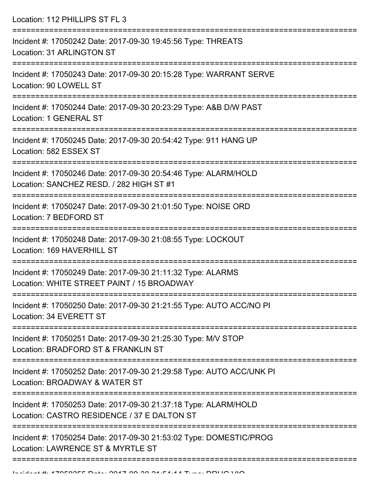Location: 112 PHILLIPS ST FL 3

| Incident #: 17050242 Date: 2017-09-30 19:45:56 Type: THREATS<br>Location: 31 ARLINGTON ST                      |
|----------------------------------------------------------------------------------------------------------------|
| Incident #: 17050243 Date: 2017-09-30 20:15:28 Type: WARRANT SERVE<br>Location: 90 LOWELL ST                   |
| Incident #: 17050244 Date: 2017-09-30 20:23:29 Type: A&B D/W PAST<br>Location: 1 GENERAL ST                    |
| Incident #: 17050245 Date: 2017-09-30 20:54:42 Type: 911 HANG UP<br>Location: 582 ESSEX ST                     |
| Incident #: 17050246 Date: 2017-09-30 20:54:46 Type: ALARM/HOLD<br>Location: SANCHEZ RESD. / 282 HIGH ST #1    |
| Incident #: 17050247 Date: 2017-09-30 21:01:50 Type: NOISE ORD<br>Location: 7 BEDFORD ST                       |
| Incident #: 17050248 Date: 2017-09-30 21:08:55 Type: LOCKOUT<br>Location: 169 HAVERHILL ST                     |
| Incident #: 17050249 Date: 2017-09-30 21:11:32 Type: ALARMS<br>Location: WHITE STREET PAINT / 15 BROADWAY      |
| Incident #: 17050250 Date: 2017-09-30 21:21:55 Type: AUTO ACC/NO PI<br>Location: 34 EVERETT ST                 |
| Incident #: 17050251 Date: 2017-09-30 21:25:30 Type: M/V STOP<br>Location: BRADFORD ST & FRANKLIN ST           |
| Incident #: 17050252 Date: 2017-09-30 21:29:58 Type: AUTO ACC/UNK PI<br>Location: BROADWAY & WATER ST          |
| Incident #: 17050253 Date: 2017-09-30 21:37:18 Type: ALARM/HOLD<br>Location: CASTRO RESIDENCE / 37 E DALTON ST |
| Incident #: 17050254 Date: 2017-09-30 21:53:02 Type: DOMESTIC/PROG<br>Location: LAWRENCE ST & MYRTLE ST        |
|                                                                                                                |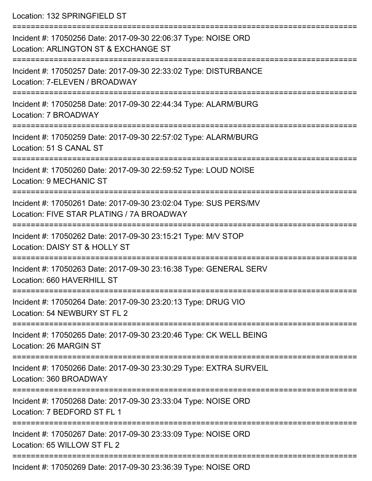Location: 132 SPRINGFIFLD ST =========================================================================== Incident #: 17050256 Date: 2017-09-30 22:06:37 Type: NOISE ORD Location: ARLINGTON ST & EXCHANGE ST =========================================================================== Incident #: 17050257 Date: 2017-09-30 22:33:02 Type: DISTURBANCE Location: 7-ELEVEN / BROADWAY =========================================================================== Incident #: 17050258 Date: 2017-09-30 22:44:34 Type: ALARM/BURG Location: 7 BROADWAY =========================================================================== Incident #: 17050259 Date: 2017-09-30 22:57:02 Type: ALARM/BURG Location: 51 S CANAL ST =========================================================================== Incident #: 17050260 Date: 2017-09-30 22:59:52 Type: LOUD NOISE Location: 9 MECHANIC ST =========================================================================== Incident #: 17050261 Date: 2017-09-30 23:02:04 Type: SUS PERS/MV Location: FIVE STAR PLATING / 7A BROADWAY =========================================================================== Incident #: 17050262 Date: 2017-09-30 23:15:21 Type: M/V STOP Location: DAISY ST & HOLLY ST =========================================================================== Incident #: 17050263 Date: 2017-09-30 23:16:38 Type: GENERAL SERV Location: 660 HAVERHILL ST =========================================================================== Incident #: 17050264 Date: 2017-09-30 23:20:13 Type: DRUG VIO Location: 54 NEWBURY ST FL 2 =========================================================================== Incident #: 17050265 Date: 2017-09-30 23:20:46 Type: CK WELL BEING Location: 26 MARGIN ST =========================================================================== Incident #: 17050266 Date: 2017-09-30 23:30:29 Type: EXTRA SURVEIL Location: 360 BROADWAY =========================================================================== Incident #: 17050268 Date: 2017-09-30 23:33:04 Type: NOISE ORD Location: 7 BEDFORD ST FL 1 =========================================================================== Incident #: 17050267 Date: 2017-09-30 23:33:09 Type: NOISE ORD Location: 65 WILLOW ST FL 2 ===========================================================================

Incident #: 17050269 Date: 2017-09-30 23:36:39 Type: NOISE ORD